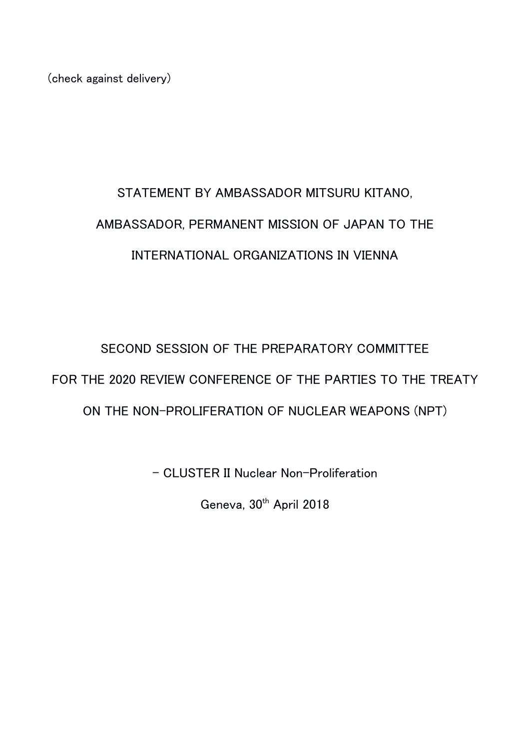(check against delivery)

## STATEMENT BY AMBASSADOR MITSURU KITANO, AMBASSADOR, PERMANENT MISSION OF JAPAN TO THE INTERNATIONAL ORGANIZATIONS IN VIENNA

SECOND SESSION OF THE PREPARATORY COMMITTEE FOR THE 2020 REVIEW CONFERENCE OF THE PARTIES TO THE TREATY ON THE NON-PROLIFERATION OF NUCLEAR WEAPONS (NPT)

- CLUSTER II Nuclear Non-Proliferation

Geneva, 30<sup>th</sup> April 2018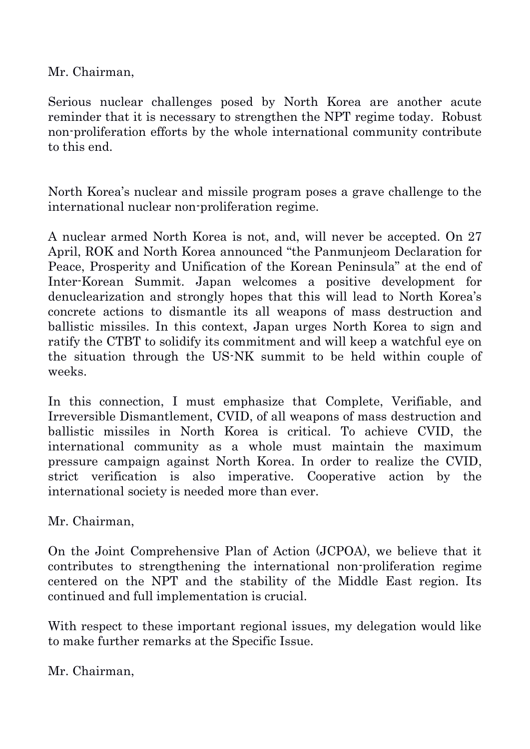Mr. Chairman,

Serious nuclear challenges posed by North Korea are another acute reminder that it is necessary to strengthen the NPT regime today. Robust non-proliferation efforts by the whole international community contribute to this end.

North Korea's nuclear and missile program poses a grave challenge to the international nuclear non-proliferation regime.

A nuclear armed North Korea is not, and, will never be accepted. On 27 April, ROK and North Korea announced "the Panmunjeom Declaration for Peace, Prosperity and Unification of the Korean Peninsula" at the end of Inter-Korean Summit. Japan welcomes a positive development for denuclearization and strongly hopes that this will lead to North Korea's concrete actions to dismantle its all weapons of mass destruction and ballistic missiles. In this context, Japan urges North Korea to sign and ratify the CTBT to solidify its commitment and will keep a watchful eye on the situation through the US-NK summit to be held within couple of weeks.

In this connection, I must emphasize that Complete, Verifiable, and Irreversible Dismantlement, CVID, of all weapons of mass destruction and ballistic missiles in North Korea is critical. To achieve CVID, the international community as a whole must maintain the maximum pressure campaign against North Korea. In order to realize the CVID, strict verification is also imperative. Cooperative action by the international society is needed more than ever.

Mr. Chairman,

On the Joint Comprehensive Plan of Action (JCPOA), we believe that it contributes to strengthening the international non-proliferation regime centered on the NPT and the stability of the Middle East region. Its continued and full implementation is crucial.

With respect to these important regional issues, my delegation would like to make further remarks at the Specific Issue.

Mr. Chairman,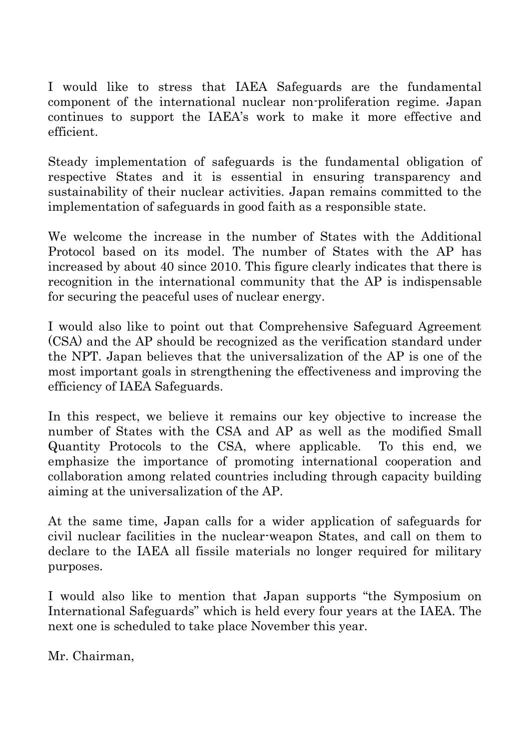I would like to stress that IAEA Safeguards are the fundamental component of the international nuclear non-proliferation regime. Japan continues to support the IAEA's work to make it more effective and efficient.

Steady implementation of safeguards is the fundamental obligation of respective States and it is essential in ensuring transparency and sustainability of their nuclear activities. Japan remains committed to the implementation of safeguards in good faith as a responsible state.

We welcome the increase in the number of States with the Additional Protocol based on its model. The number of States with the AP has increased by about 40 since 2010. This figure clearly indicates that there is recognition in the international community that the AP is indispensable for securing the peaceful uses of nuclear energy.

I would also like to point out that Comprehensive Safeguard Agreement (CSA) and the AP should be recognized as the verification standard under the NPT. Japan believes that the universalization of the AP is one of the most important goals in strengthening the effectiveness and improving the efficiency of IAEA Safeguards.

In this respect, we believe it remains our key objective to increase the number of States with the CSA and AP as well as the modified Small Quantity Protocols to the CSA, where applicable. To this end, we emphasize the importance of promoting international cooperation and collaboration among related countries including through capacity building aiming at the universalization of the AP.

At the same time, Japan calls for a wider application of safeguards for civil nuclear facilities in the nuclear-weapon States, and call on them to declare to the IAEA all fissile materials no longer required for military purposes.

I would also like to mention that Japan supports "the Symposium on International Safeguards" which is held every four years at the IAEA. The next one is scheduled to take place November this year.

Mr. Chairman,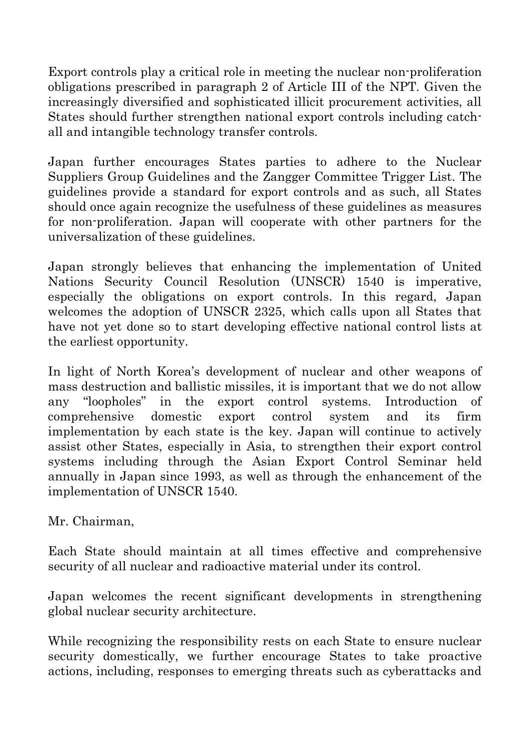Export controls play a critical role in meeting the nuclear non-proliferation obligations prescribed in paragraph 2 of Article III of the NPT. Given the increasingly diversified and sophisticated illicit procurement activities, all States should further strengthen national export controls including catchall and intangible technology transfer controls.

Japan further encourages States parties to adhere to the Nuclear Suppliers Group Guidelines and the Zangger Committee Trigger List. The guidelines provide a standard for export controls and as such, all States should once again recognize the usefulness of these guidelines as measures for non-proliferation. Japan will cooperate with other partners for the universalization of these guidelines.

Japan strongly believes that enhancing the implementation of United Nations Security Council Resolution (UNSCR) 1540 is imperative, especially the obligations on export controls. In this regard, Japan welcomes the adoption of UNSCR 2325, which calls upon all States that have not yet done so to start developing effective national control lists at the earliest opportunity.

In light of North Korea's development of nuclear and other weapons of mass destruction and ballistic missiles, it is important that we do not allow any "loopholes" in the export control systems. Introduction of comprehensive domestic export control system and its firm implementation by each state is the key. Japan will continue to actively assist other States, especially in Asia, to strengthen their export control systems including through the Asian Export Control Seminar held annually in Japan since 1993, as well as through the enhancement of the implementation of UNSCR 1540.

Mr. Chairman,

Each State should maintain at all times effective and comprehensive security of all nuclear and radioactive material under its control.

Japan welcomes the recent significant developments in strengthening global nuclear security architecture.

While recognizing the responsibility rests on each State to ensure nuclear security domestically, we further encourage States to take proactive actions, including, responses to emerging threats such as cyberattacks and